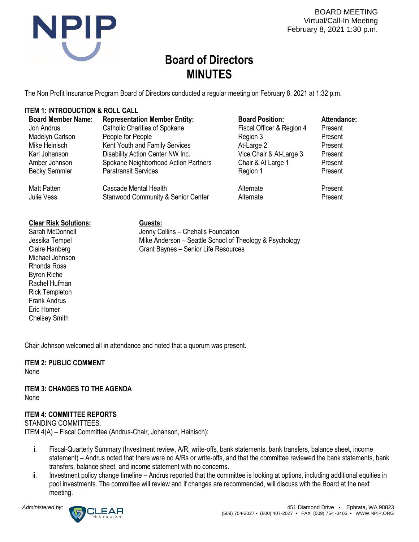

BOARD MEETING Virtual/Call-In Meeting February 8, 2021 1:30 p.m.

# **Board of Directors MINUTES**

The Non Profit Insurance Program Board of Directors conducted a regular meeting on February 8, 2021 at 1:32 p.m.

# **ITEM 1: INTRODUCTION & ROLL CALL**

| <b>Board Member Name:</b> | <b>Representation Member Entity:</b>          | <b>Board Position:</b>    | Attendance: |
|---------------------------|-----------------------------------------------|---------------------------|-------------|
| Jon Andrus                | <b>Catholic Charities of Spokane</b>          | Fiscal Officer & Region 4 | Present     |
| Madelyn Carlson           | People for People                             | Region 3                  | Present     |
| Mike Heinisch             | Kent Youth and Family Services                | At-Large 2                | Present     |
| Karl Johanson             | Disability Action Center NW Inc.              | Vice Chair & At-Large 3   | Present     |
| Amber Johnson             | Spokane Neighborhood Action Partners          | Chair & At Large 1        | Present     |
| <b>Becky Semmler</b>      | <b>Paratransit Services</b>                   | Region 1                  | Present     |
| <b>Matt Patten</b>        | Cascade Mental Health                         | Alternate                 | Present     |
| Julie Vess                | <b>Stanwood Community &amp; Senior Center</b> | Alternate                 | Present     |
|                           |                                               |                           |             |

#### **Clear Risk Solutions:**

Sarah McDonnell Jessika Tempel Claire Hanberg Michael Johnson Rhonda Ross Byron Riche Rachel Hufman Rick Templeton Frank Andrus Eric Homer Chelsey Smith

**Guests:** Jenny Collins – Chehalis Foundation Mike Anderson – Seattle School of Theology & Psychology Grant Baynes – Senior Life Resources

Chair Johnson welcomed all in attendance and noted that a quorum was present.

# **ITEM 2: PUBLIC COMMENT**

None

**ITEM 3: CHANGES TO THE AGENDA** None

# **ITEM 4: COMMITTEE REPORTS**

STANDING COMMITTEES: ITEM 4(A) – Fiscal Committee (Andrus-Chair, Johanson, Heinisch):

- i. Fiscal-Quarterly Summary (Investment review, A/R, write-offs, bank statements, bank transfers, balance sheet, income statement) – Andrus noted that there were no A/Rs or write-offs, and that the committee reviewed the bank statements, bank transfers, balance sheet, and income statement with no concerns.
- ii. Investment policy change timeline Andrus reported that the committee is looking at options, including additional equities in pool investments. The committee will review and if changes are recommended, will discuss with the Board at the next meeting.

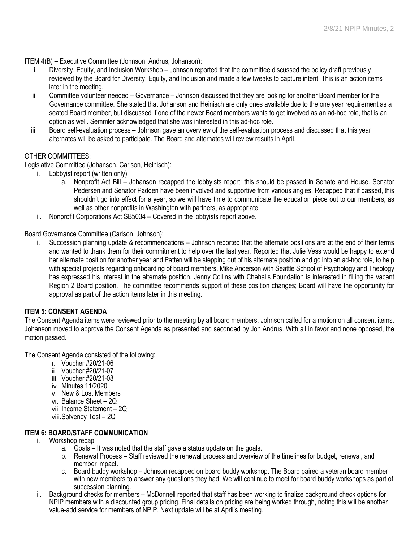ITEM 4(B) – Executive Committee (Johnson, Andrus, Johanson):

- i. Diversity, Equity, and Inclusion Workshop Johnson reported that the committee discussed the policy draft previously reviewed by the Board for Diversity, Equity, and Inclusion and made a few tweaks to capture intent. This is an action items later in the meeting.
- ii. Committee volunteer needed Governance Johnson discussed that they are looking for another Board member for the Governance committee. She stated that Johanson and Heinisch are only ones available due to the one year requirement as a seated Board member, but discussed if one of the newer Board members wants to get involved as an ad-hoc role, that is an option as well. Semmler acknowledged that she was interested in this ad-hoc role.
- iii. Board self-evaluation process Johnson gave an overview of the self-evaluation process and discussed that this year alternates will be asked to participate. The Board and alternates will review results in April.

# OTHER COMMITTEES:

Legislative Committee (Johanson, Carlson, Heinisch):

- i. Lobbyist report (written only)
	- a. Nonprofit Act Bill Johanson recapped the lobbyists report: this should be passed in Senate and House. Senator Pedersen and Senator Padden have been involved and supportive from various angles. Recapped that if passed, this shouldn't go into effect for a year, so we will have time to communicate the education piece out to our members, as well as other nonprofits in Washington with partners, as appropriate.
- ii. Nonprofit Corporations Act SB5034 Covered in the lobbyists report above.

Board Governance Committee (Carlson, Johnson):

i. Succession planning update & recommendations – Johnson reported that the alternate positions are at the end of their terms and wanted to thank them for their commitment to help over the last year. Reported that Julie Vess would be happy to extend her alternate position for another year and Patten will be stepping out of his alternate position and go into an ad-hoc role, to help with special projects regarding onboarding of board members. Mike Anderson with Seattle School of Psychology and Theology has expressed his interest in the alternate position. Jenny Collins with Chehalis Foundation is interested in filling the vacant Region 2 Board position. The committee recommends support of these position changes; Board will have the opportunity for approval as part of the action items later in this meeting.

#### **ITEM 5: CONSENT AGENDA**

The Consent Agenda items were reviewed prior to the meeting by all board members. Johnson called for a motion on all consent items. Johanson moved to approve the Consent Agenda as presented and seconded by Jon Andrus. With all in favor and none opposed, the motion passed.

The Consent Agenda consisted of the following:

- i. Voucher #20/21-06
- ii. Voucher #20/21-07
- iii. Voucher #20/21-08
- iv. Minutes 11/2020
- v. New & Lost Members
- vi. Balance Sheet 2Q
- vii. Income Statement 2Q
- viii.Solvency Test 2Q

# **ITEM 6: BOARD/STAFF COMMUNICATION**

- i. Workshop recap
	- a. Goals It was noted that the staff gave a status update on the goals.
	- b. Renewal Process Staff reviewed the renewal process and overview of the timelines for budget, renewal, and member impact.
	- c. Board buddy workshop Johnson recapped on board buddy workshop. The Board paired a veteran board member with new members to answer any questions they had. We will continue to meet for board buddy workshops as part of succession planning.
- ii. Background checks for members McDonnell reported that staff has been working to finalize background check options for NPIP members with a discounted group pricing. Final details on pricing are being worked through, noting this will be another value-add service for members of NPIP. Next update will be at April's meeting.